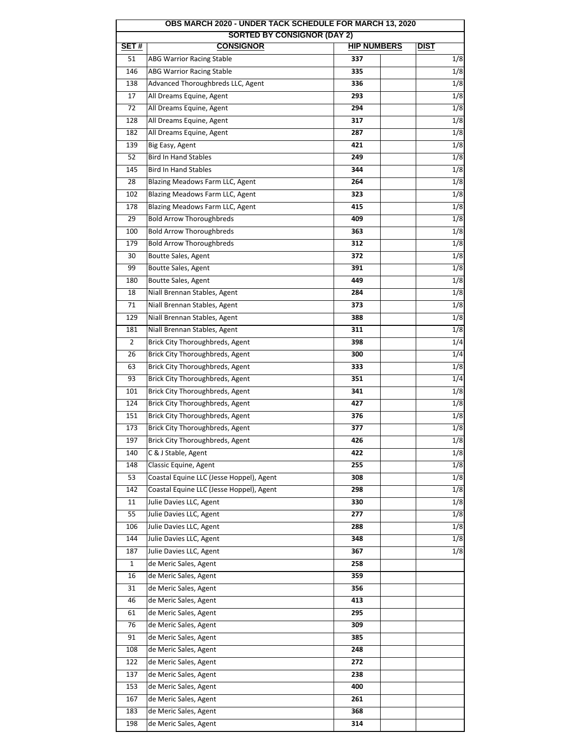| OBS MARCH 2020 - UNDER TACK SCHEDULE FOR MARCH 13, 2020 |                                          |                    |             |  |  |  |
|---------------------------------------------------------|------------------------------------------|--------------------|-------------|--|--|--|
|                                                         | <b>SORTED BY CONSIGNOR (DAY 2)</b>       |                    |             |  |  |  |
| SET#                                                    | <b>CONSIGNOR</b>                         | <b>HIP NUMBERS</b> | <b>DIST</b> |  |  |  |
| 51                                                      | <b>ABG Warrior Racing Stable</b>         | 337                | 1/8         |  |  |  |
| 146                                                     | <b>ABG Warrior Racing Stable</b>         | 335                | 1/8         |  |  |  |
| 138                                                     | Advanced Thoroughbreds LLC, Agent        | 336                | 1/8         |  |  |  |
| 17                                                      | All Dreams Equine, Agent                 | 293                | 1/8         |  |  |  |
| 72                                                      | All Dreams Equine, Agent                 | 294                | 1/8         |  |  |  |
| 128                                                     | All Dreams Equine, Agent                 | 317                | 1/8         |  |  |  |
| 182                                                     | All Dreams Equine, Agent                 | 287                | 1/8         |  |  |  |
| 139                                                     | Big Easy, Agent                          | 421                | 1/8         |  |  |  |
| 52                                                      | <b>Bird In Hand Stables</b>              | 249                | 1/8         |  |  |  |
| 145                                                     | <b>Bird In Hand Stables</b>              | 344                | 1/8         |  |  |  |
| 28                                                      | Blazing Meadows Farm LLC, Agent          | 264                | 1/8         |  |  |  |
| 102                                                     | Blazing Meadows Farm LLC, Agent          | 323                | 1/8         |  |  |  |
| 178                                                     | Blazing Meadows Farm LLC, Agent          | 415                | 1/8         |  |  |  |
| 29                                                      | <b>Bold Arrow Thoroughbreds</b>          | 409                | 1/8         |  |  |  |
| 100                                                     | <b>Bold Arrow Thoroughbreds</b>          | 363                | 1/8         |  |  |  |
| 179                                                     | <b>Bold Arrow Thoroughbreds</b>          | 312                | 1/8         |  |  |  |
| 30                                                      | Boutte Sales, Agent                      | 372                | 1/8         |  |  |  |
| 99                                                      | <b>Boutte Sales, Agent</b>               | 391                | 1/8         |  |  |  |
| 180                                                     | Boutte Sales, Agent                      | 449                | 1/8         |  |  |  |
| 18                                                      | Niall Brennan Stables, Agent             | 284                | 1/8         |  |  |  |
|                                                         |                                          |                    |             |  |  |  |
| 71                                                      | Niall Brennan Stables, Agent             | 373                | 1/8         |  |  |  |
| 129                                                     | Niall Brennan Stables, Agent             | 388                | 1/8         |  |  |  |
| 181                                                     | Niall Brennan Stables, Agent             | 311                | 1/8         |  |  |  |
| $\overline{2}$                                          | Brick City Thoroughbreds, Agent          | 398                | 1/4         |  |  |  |
| 26                                                      | Brick City Thoroughbreds, Agent          | 300                | 1/4         |  |  |  |
| 63                                                      | Brick City Thoroughbreds, Agent          | 333                | 1/8         |  |  |  |
| 93                                                      | Brick City Thoroughbreds, Agent          | 351                | 1/4         |  |  |  |
| 101                                                     | Brick City Thoroughbreds, Agent          | 341                | 1/8         |  |  |  |
| 124                                                     | Brick City Thoroughbreds, Agent          | 427                | 1/8         |  |  |  |
| 151                                                     | Brick City Thoroughbreds, Agent          | 376                | 1/8         |  |  |  |
| 173                                                     | Brick City Thoroughbreds, Agent          | 377                | 1/8         |  |  |  |
| 197                                                     | Brick City Thoroughbreds, Agent          | 426                | 1/8         |  |  |  |
| 140                                                     | C & J Stable, Agent                      | 422                | 1/8         |  |  |  |
| 148                                                     | Classic Equine, Agent                    | 255                | 1/8         |  |  |  |
| 53                                                      | Coastal Equine LLC (Jesse Hoppel), Agent | 308                | 1/8         |  |  |  |
| 142                                                     | Coastal Equine LLC (Jesse Hoppel), Agent | 298                | 1/8         |  |  |  |
| 11                                                      | Julie Davies LLC, Agent                  | 330                | 1/8         |  |  |  |
| 55                                                      | Julie Davies LLC, Agent                  | 277                | 1/8         |  |  |  |
| 106                                                     | Julie Davies LLC, Agent                  | 288                | 1/8         |  |  |  |
| 144                                                     | Julie Davies LLC, Agent                  | 348                | 1/8         |  |  |  |
| 187                                                     | Julie Davies LLC, Agent                  | 367                | 1/8         |  |  |  |
| 1                                                       | de Meric Sales, Agent                    | 258                |             |  |  |  |
| 16                                                      | de Meric Sales, Agent                    | 359                |             |  |  |  |
| 31                                                      | de Meric Sales, Agent                    | 356                |             |  |  |  |
| 46                                                      | de Meric Sales, Agent                    | 413                |             |  |  |  |
|                                                         | de Meric Sales, Agent                    |                    |             |  |  |  |
| 61                                                      |                                          | 295                |             |  |  |  |
| 76                                                      | de Meric Sales, Agent                    | 309                |             |  |  |  |
| 91                                                      | de Meric Sales, Agent                    | 385                |             |  |  |  |
| 108                                                     | de Meric Sales, Agent                    | 248                |             |  |  |  |
| 122                                                     | de Meric Sales, Agent                    | 272                |             |  |  |  |
| 137                                                     | de Meric Sales, Agent                    | 238                |             |  |  |  |
| 153                                                     | de Meric Sales, Agent                    | 400                |             |  |  |  |
| 167                                                     | de Meric Sales, Agent                    | 261                |             |  |  |  |
| 183                                                     | de Meric Sales, Agent                    | 368                |             |  |  |  |
| 198                                                     | de Meric Sales, Agent                    | 314                |             |  |  |  |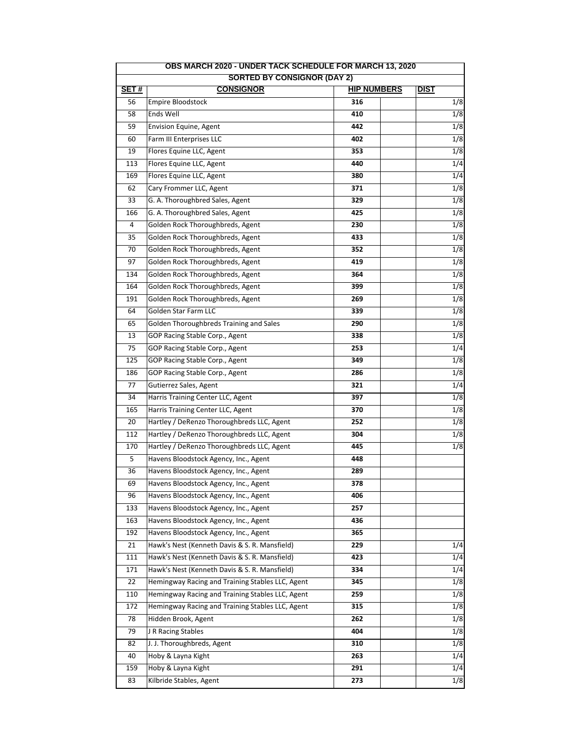| OBS MARCH 2020 - UNDER TACK SCHEDULE FOR MARCH 13, 2020 |                                                  |                    |                  |  |  |  |
|---------------------------------------------------------|--------------------------------------------------|--------------------|------------------|--|--|--|
|                                                         | <b>SORTED BY CONSIGNOR (DAY 2)</b>               |                    |                  |  |  |  |
| SET#                                                    | <b>CONSIGNOR</b>                                 | <b>HIP NUMBERS</b> | <b>DIST</b>      |  |  |  |
| 56                                                      | <b>Empire Bloodstock</b>                         | 316                | 1/8              |  |  |  |
| 58                                                      | Ends Well                                        | 410                | 1/8              |  |  |  |
| 59                                                      | Envision Equine, Agent                           | 442                | 1/8              |  |  |  |
| 60                                                      | Farm III Enterprises LLC                         | 402                | 1/8              |  |  |  |
| 19                                                      | Flores Equine LLC, Agent                         | 353                | 1/8              |  |  |  |
| 113                                                     | Flores Equine LLC, Agent                         | 440                | 1/4              |  |  |  |
| 169                                                     | Flores Equine LLC, Agent                         | 380                | 1/4              |  |  |  |
| 62                                                      | Cary Frommer LLC, Agent                          | 371                | 1/8              |  |  |  |
| 33                                                      | G. A. Thoroughbred Sales, Agent                  | 329                | 1/8              |  |  |  |
| 166                                                     | G. A. Thoroughbred Sales, Agent                  | 425                | 1/8              |  |  |  |
| $\overline{4}$                                          | Golden Rock Thoroughbreds, Agent                 | 230                | $\overline{1/8}$ |  |  |  |
| 35                                                      | Golden Rock Thoroughbreds, Agent                 | 433                | 1/8              |  |  |  |
| 70                                                      | Golden Rock Thoroughbreds, Agent                 | 352                | 1/8              |  |  |  |
| 97                                                      | Golden Rock Thoroughbreds, Agent                 | 419                | 1/8              |  |  |  |
| 134                                                     | Golden Rock Thoroughbreds, Agent                 | 364                | 1/8              |  |  |  |
| 164                                                     | Golden Rock Thoroughbreds, Agent                 | 399                | 1/8              |  |  |  |
| 191                                                     | Golden Rock Thoroughbreds, Agent                 | 269                | 1/8              |  |  |  |
| 64                                                      | Golden Star Farm LLC                             | 339                | 1/8              |  |  |  |
| 65                                                      | Golden Thoroughbreds Training and Sales          | 290                | 1/8              |  |  |  |
| 13                                                      | GOP Racing Stable Corp., Agent                   | 338                | 1/8              |  |  |  |
| 75                                                      | GOP Racing Stable Corp., Agent                   | 253                | 1/4              |  |  |  |
| 125                                                     | GOP Racing Stable Corp., Agent                   | 349                | 1/8              |  |  |  |
| 186                                                     | <b>GOP Racing Stable Corp., Agent</b>            | 286                | 1/8              |  |  |  |
| 77                                                      | Gutierrez Sales, Agent                           | 321                | 1/4              |  |  |  |
| 34                                                      | Harris Training Center LLC, Agent                | 397                | 1/8              |  |  |  |
| 165                                                     | Harris Training Center LLC, Agent                | 370                | 1/8              |  |  |  |
| 20                                                      | Hartley / DeRenzo Thoroughbreds LLC, Agent       | 252                | 1/8              |  |  |  |
| 112                                                     | Hartley / DeRenzo Thoroughbreds LLC, Agent       | 304                | 1/8              |  |  |  |
| 170                                                     | Hartley / DeRenzo Thoroughbreds LLC, Agent       | 445                | 1/8              |  |  |  |
| 5                                                       | Havens Bloodstock Agency, Inc., Agent            | 448                |                  |  |  |  |
| 36                                                      | Havens Bloodstock Agency, Inc., Agent            | 289                |                  |  |  |  |
| 69                                                      | Havens Bloodstock Agency, Inc., Agent            | 378                |                  |  |  |  |
| 96                                                      | Havens Bloodstock Agency, Inc., Agent            | 406                |                  |  |  |  |
| 133                                                     | Havens Bloodstock Agency, Inc., Agent            | 257                |                  |  |  |  |
| 163                                                     | Havens Bloodstock Agency, Inc., Agent            | 436                |                  |  |  |  |
| 192                                                     | Havens Bloodstock Agency, Inc., Agent            | 365                |                  |  |  |  |
| 21                                                      | Hawk's Nest (Kenneth Davis & S. R. Mansfield)    | 229                | 1/4              |  |  |  |
| 111                                                     | Hawk's Nest (Kenneth Davis & S. R. Mansfield)    | 423                | 1/4              |  |  |  |
| 171                                                     | Hawk's Nest (Kenneth Davis & S. R. Mansfield)    | 334                | 1/4              |  |  |  |
| 22                                                      | Hemingway Racing and Training Stables LLC, Agent | 345                | 1/8              |  |  |  |
| 110                                                     | Hemingway Racing and Training Stables LLC, Agent | 259                | 1/8              |  |  |  |
| 172                                                     | Hemingway Racing and Training Stables LLC, Agent |                    | 1/8              |  |  |  |
| 78                                                      |                                                  | 315<br>262         |                  |  |  |  |
|                                                         | Hidden Brook, Agent                              |                    | 1/8              |  |  |  |
| 79                                                      | J R Racing Stables                               | 404                | 1/8              |  |  |  |
| 82                                                      | J. J. Thoroughbreds, Agent                       | 310                | 1/8              |  |  |  |
| 40                                                      | Hoby & Layna Kight                               | 263                | 1/4              |  |  |  |
| 159                                                     | Hoby & Layna Kight                               | 291                | 1/4              |  |  |  |
| 83                                                      | Kilbride Stables, Agent                          | 273                | 1/8              |  |  |  |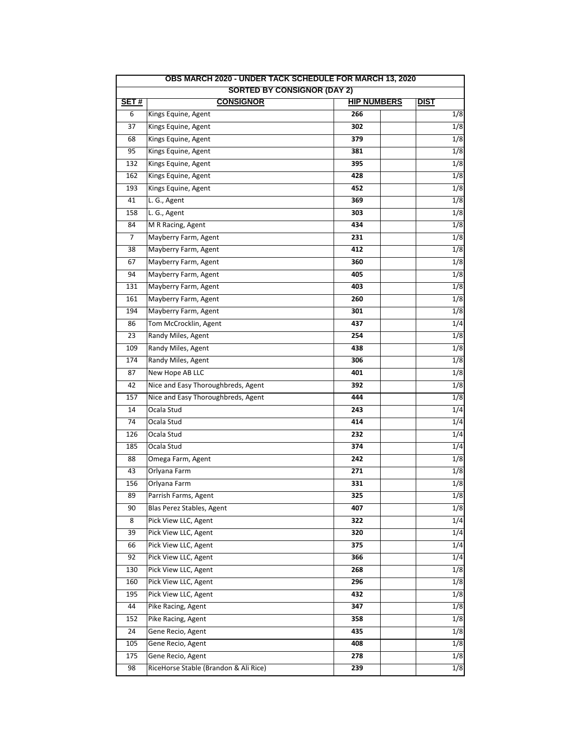|                                    | OBS MARCH 2020 - UNDER TACK SCHEDULE FOR MARCH 13, 2020 |                    |  |             |  |
|------------------------------------|---------------------------------------------------------|--------------------|--|-------------|--|
| <b>SORTED BY CONSIGNOR (DAY 2)</b> |                                                         |                    |  |             |  |
| SET#                               | <b>CONSIGNOR</b>                                        | <b>HIP NUMBERS</b> |  | <b>DIST</b> |  |
| 6                                  | Kings Equine, Agent                                     | 266                |  | 1/8         |  |
| 37                                 | Kings Equine, Agent                                     | 302                |  | 1/8         |  |
| 68                                 | Kings Equine, Agent                                     | 379                |  | 1/8         |  |
| 95                                 | Kings Equine, Agent                                     | 381                |  | 1/8         |  |
| 132                                | Kings Equine, Agent                                     | 395                |  | 1/8         |  |
| 162                                | Kings Equine, Agent                                     | 428                |  | 1/8         |  |
| 193                                | Kings Equine, Agent                                     | 452                |  | 1/8         |  |
| 41                                 | L. G., Agent                                            | 369                |  | 1/8         |  |
| 158                                | L. G., Agent                                            | 303                |  | 1/8         |  |
| 84                                 | M R Racing, Agent                                       | 434                |  | 1/8         |  |
| $\overline{7}$                     | Mayberry Farm, Agent                                    | 231                |  | 1/8         |  |
| 38                                 | Mayberry Farm, Agent                                    | 412                |  | 1/8         |  |
| 67                                 | Mayberry Farm, Agent                                    | 360                |  | 1/8         |  |
| 94                                 | Mayberry Farm, Agent                                    | 405                |  | 1/8         |  |
| 131                                | Mayberry Farm, Agent                                    | 403                |  | 1/8         |  |
| 161                                | Mayberry Farm, Agent                                    | 260                |  | 1/8         |  |
| 194                                | Mayberry Farm, Agent                                    | 301                |  | 1/8         |  |
| 86                                 | Tom McCrocklin, Agent                                   | 437                |  | 1/4         |  |
| 23                                 | Randy Miles, Agent                                      | 254                |  | 1/8         |  |
| 109                                | Randy Miles, Agent                                      | 438                |  | 1/8         |  |
| 174                                | Randy Miles, Agent                                      | 306                |  | 1/8         |  |
| 87                                 | New Hope AB LLC                                         | 401                |  | 1/8         |  |
| 42                                 | Nice and Easy Thoroughbreds, Agent                      | 392                |  | 1/8         |  |
| 157                                | Nice and Easy Thoroughbreds, Agent                      | 444                |  | 1/8         |  |
| 14                                 | Ocala Stud                                              | 243                |  | 1/4         |  |
| 74                                 | Ocala Stud                                              | 414                |  | 1/4         |  |
| 126                                | Ocala Stud                                              | 232                |  | 1/4         |  |
| 185                                | Ocala Stud                                              | 374                |  | 1/4         |  |
| 88                                 | Omega Farm, Agent                                       | 242                |  | 1/8         |  |
| 43                                 | Orlyana Farm                                            | 271                |  | 1/8         |  |
| 156                                | Orlyana Farm                                            | 331                |  | 1/8         |  |
| 89                                 | Parrish Farms, Agent                                    | 325                |  | 1/8         |  |
| 90                                 | Blas Perez Stables, Agent                               | 407                |  | 1/8         |  |
| 8                                  | Pick View LLC, Agent                                    | 322                |  | 1/4         |  |
| 39                                 | Pick View LLC, Agent                                    | 320                |  | 1/4         |  |
| 66                                 | Pick View LLC, Agent                                    | 375                |  | 1/4         |  |
| 92                                 | Pick View LLC, Agent                                    | 366                |  | 1/4         |  |
| 130                                | Pick View LLC, Agent                                    | 268                |  | 1/8         |  |
| 160                                | Pick View LLC, Agent                                    | 296                |  | 1/8         |  |
| 195                                | Pick View LLC, Agent                                    | 432                |  | 1/8         |  |
| 44                                 | Pike Racing, Agent                                      | 347                |  | 1/8         |  |
| 152                                | Pike Racing, Agent                                      | 358                |  | 1/8         |  |
| 24                                 | Gene Recio, Agent                                       | 435                |  | 1/8         |  |
| 105                                | Gene Recio, Agent                                       | 408                |  | 1/8         |  |
| 175                                | Gene Recio, Agent                                       | 278                |  | 1/8         |  |
| 98                                 | RiceHorse Stable (Brandon & Ali Rice)                   | 239                |  | 1/8         |  |